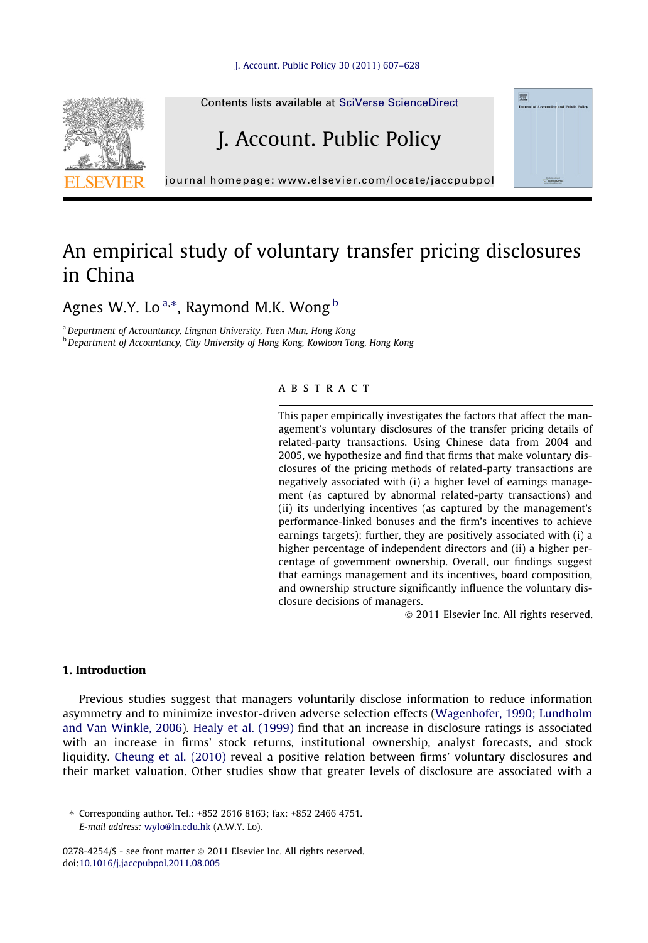

## An empirical study of voluntary transfer pricing disclosures in China

Agnes W.Y. Lo<sup>a,\*</sup>, Raymond M.K. Wong <sup>b</sup>

a Department of Accountancy, Lingnan University, Tuen Mun, Hong Kong b Department of Accountancy, City University of Hong Kong, Kowloon Tong, Hong Kong

## ABSTRACT

This paper empirically investigates the factors that affect the management's voluntary disclosures of the transfer pricing details of related-party transactions. Using Chinese data from 2004 and 2005, we hypothesize and find that firms that make voluntary disclosures of the pricing methods of related-party transactions are negatively associated with (i) a higher level of earnings management (as captured by abnormal related-party transactions) and (ii) its underlying incentives (as captured by the management's performance-linked bonuses and the firm's incentives to achieve earnings targets); further, they are positively associated with (i) a higher percentage of independent directors and (ii) a higher percentage of government ownership. Overall, our findings suggest that earnings management and its incentives, board composition, and ownership structure significantly influence the voluntary disclosure decisions of managers.

- 2011 Elsevier Inc. All rights reserved.

## 1. Introduction

Previous studies suggest that managers voluntarily disclose information to reduce information asymmetry and to minimize investor-driven adverse selection effects ([Wagenhofer, 1990; Lundholm](#page--1-0) [and Van Winkle, 2006\)](#page--1-0). [Healy et al. \(1999\)](#page--1-0) find that an increase in disclosure ratings is associated with an increase in firms' stock returns, institutional ownership, analyst forecasts, and stock liquidity. [Cheung et al. \(2010\)](#page--1-0) reveal a positive relation between firms' voluntary disclosures and their market valuation. Other studies show that greater levels of disclosure are associated with a

<sup>⇑</sup> Corresponding author. Tel.: +852 2616 8163; fax: +852 2466 4751. E-mail address: [wylo@ln.edu.hk](mailto:wylo@ln.edu.hk) (A.W.Y. Lo).

<sup>0278-4254/\$ -</sup> see front matter @ 2011 Elsevier Inc. All rights reserved. doi[:10.1016/j.jaccpubpol.2011.08.005](http://dx.doi.org/10.1016/j.jaccpubpol.2011.08.005)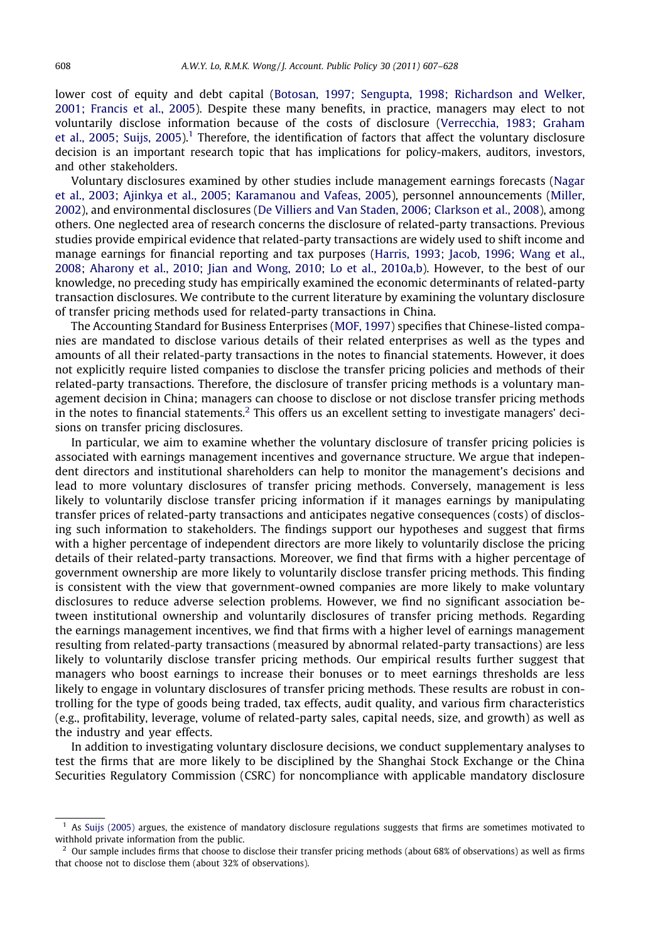lower cost of equity and debt capital [\(Botosan, 1997; Sengupta, 1998; Richardson and Welker,](#page--1-0) [2001; Francis et al., 2005](#page--1-0)). Despite these many benefits, in practice, managers may elect to not voluntarily disclose information because of the costs of disclosure [\(Verrecchia, 1983; Graham](#page--1-0) [et al., 2005; Suijs, 2005](#page--1-0)).<sup>1</sup> Therefore, the identification of factors that affect the voluntary disclosure decision is an important research topic that has implications for policy-makers, auditors, investors, and other stakeholders.

Voluntary disclosures examined by other studies include management earnings forecasts [\(Nagar](#page--1-0) [et al., 2003; Ajinkya et al., 2005; Karamanou and Vafeas, 2005\)](#page--1-0), personnel announcements ([Miller,](#page--1-0) [2002\)](#page--1-0), and environmental disclosures [\(De Villiers and Van Staden, 2006; Clarkson et al., 2008\)](#page--1-0), among others. One neglected area of research concerns the disclosure of related-party transactions. Previous studies provide empirical evidence that related-party transactions are widely used to shift income and manage earnings for financial reporting and tax purposes ([Harris, 1993; Jacob, 1996; Wang et al.,](#page--1-0) [2008; Aharony et al., 2010; Jian and Wong, 2010; Lo et al., 2010a,b](#page--1-0)). However, to the best of our knowledge, no preceding study has empirically examined the economic determinants of related-party transaction disclosures. We contribute to the current literature by examining the voluntary disclosure of transfer pricing methods used for related-party transactions in China.

The Accounting Standard for Business Enterprises ([MOF, 1997](#page--1-0)) specifies that Chinese-listed companies are mandated to disclose various details of their related enterprises as well as the types and amounts of all their related-party transactions in the notes to financial statements. However, it does not explicitly require listed companies to disclose the transfer pricing policies and methods of their related-party transactions. Therefore, the disclosure of transfer pricing methods is a voluntary management decision in China; managers can choose to disclose or not disclose transfer pricing methods in the notes to financial statements.<sup>2</sup> This offers us an excellent setting to investigate managers' decisions on transfer pricing disclosures.

In particular, we aim to examine whether the voluntary disclosure of transfer pricing policies is associated with earnings management incentives and governance structure. We argue that independent directors and institutional shareholders can help to monitor the management's decisions and lead to more voluntary disclosures of transfer pricing methods. Conversely, management is less likely to voluntarily disclose transfer pricing information if it manages earnings by manipulating transfer prices of related-party transactions and anticipates negative consequences (costs) of disclosing such information to stakeholders. The findings support our hypotheses and suggest that firms with a higher percentage of independent directors are more likely to voluntarily disclose the pricing details of their related-party transactions. Moreover, we find that firms with a higher percentage of government ownership are more likely to voluntarily disclose transfer pricing methods. This finding is consistent with the view that government-owned companies are more likely to make voluntary disclosures to reduce adverse selection problems. However, we find no significant association between institutional ownership and voluntarily disclosures of transfer pricing methods. Regarding the earnings management incentives, we find that firms with a higher level of earnings management resulting from related-party transactions (measured by abnormal related-party transactions) are less likely to voluntarily disclose transfer pricing methods. Our empirical results further suggest that managers who boost earnings to increase their bonuses or to meet earnings thresholds are less likely to engage in voluntary disclosures of transfer pricing methods. These results are robust in controlling for the type of goods being traded, tax effects, audit quality, and various firm characteristics (e.g., profitability, leverage, volume of related-party sales, capital needs, size, and growth) as well as the industry and year effects.

In addition to investigating voluntary disclosure decisions, we conduct supplementary analyses to test the firms that are more likely to be disciplined by the Shanghai Stock Exchange or the China Securities Regulatory Commission (CSRC) for noncompliance with applicable mandatory disclosure

<sup>1</sup> As [Suijs \(2005\)](#page--1-0) argues, the existence of mandatory disclosure regulations suggests that firms are sometimes motivated to withhold private information from the public.

 $<sup>2</sup>$  Our sample includes firms that choose to disclose their transfer pricing methods (about 68% of observations) as well as firms</sup> that choose not to disclose them (about 32% of observations).